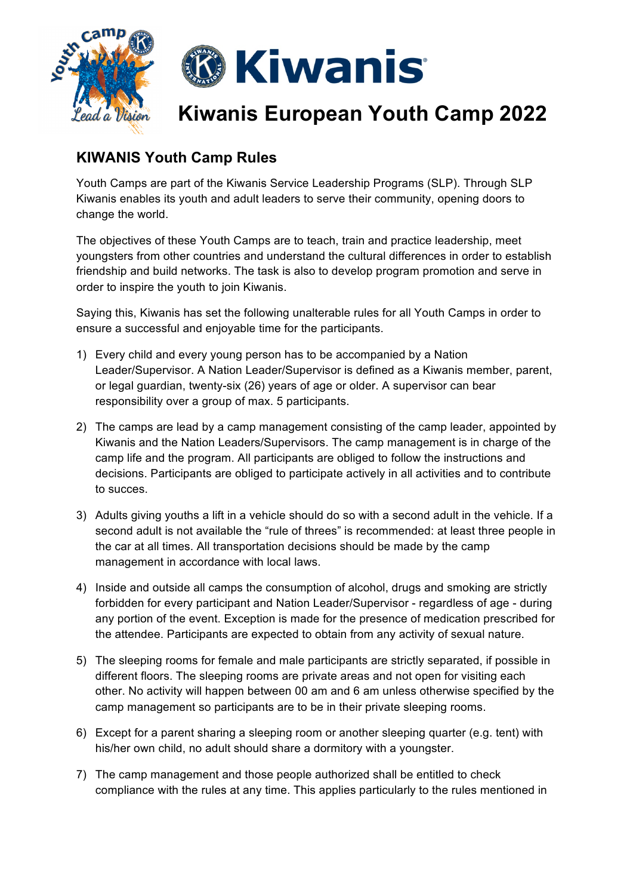

## **KIWANIS Youth Camp Rules**

Youth Camps are part of the Kiwanis Service Leadership Programs (SLP). Through SLP Kiwanis enables its youth and adult leaders to serve their community, opening doors to change the world.

The objectives of these Youth Camps are to teach, train and practice leadership, meet youngsters from other countries and understand the cultural differences in order to establish friendship and build networks. The task is also to develop program promotion and serve in order to inspire the youth to join Kiwanis.

Saying this, Kiwanis has set the following unalterable rules for all Youth Camps in order to ensure a successful and enjoyable time for the participants.

- 1) Every child and every young person has to be accompanied by a Nation Leader/Supervisor. A Nation Leader/Supervisor is defined as a Kiwanis member, parent, or legal guardian, twenty-six (26) years of age or older. A supervisor can bear responsibility over a group of max. 5 participants.
- 2) The camps are lead by a camp management consisting of the camp leader, appointed by Kiwanis and the Nation Leaders/Supervisors. The camp management is in charge of the camp life and the program. All participants are obliged to follow the instructions and decisions. Participants are obliged to participate actively in all activities and to contribute to succes.
- 3) Adults giving youths a lift in a vehicle should do so with a second adult in the vehicle. If a second adult is not available the "rule of threes" is recommended: at least three people in the car at all times. All transportation decisions should be made by the camp management in accordance with local laws.
- 4) Inside and outside all camps the consumption of alcohol, drugs and smoking are strictly forbidden for every participant and Nation Leader/Supervisor - regardless of age - during any portion of the event. Exception is made for the presence of medication prescribed for the attendee. Participants are expected to obtain from any activity of sexual nature.
- 5) The sleeping rooms for female and male participants are strictly separated, if possible in different floors. The sleeping rooms are private areas and not open for visiting each other. No activity will happen between 00 am and 6 am unless otherwise specified by the camp management so participants are to be in their private sleeping rooms.
- 6) Except for a parent sharing a sleeping room or another sleeping quarter (e.g. tent) with his/her own child, no adult should share a dormitory with a youngster.
- 7) The camp management and those people authorized shall be entitled to check compliance with the rules at any time. This applies particularly to the rules mentioned in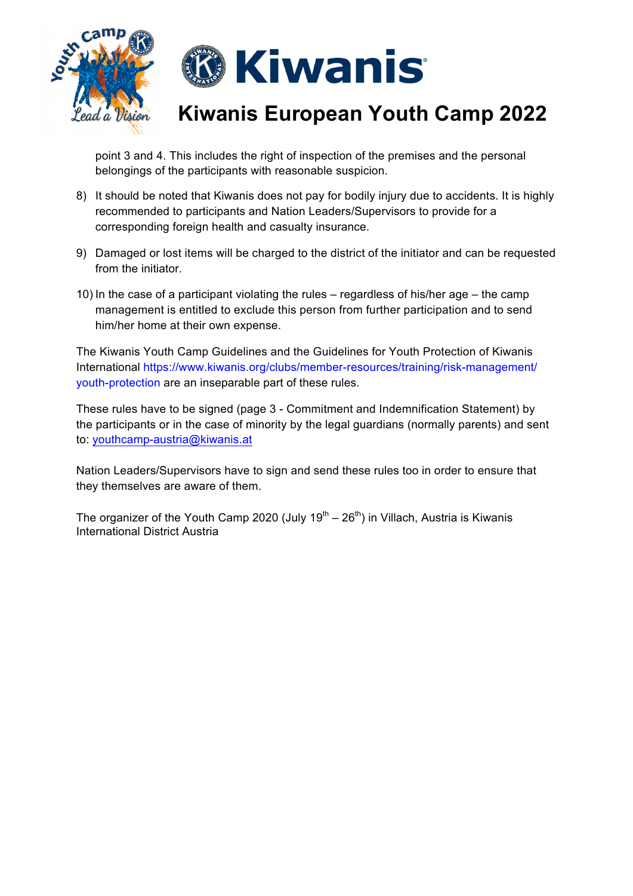



## **Kiwanis European Youth Camp 2022**

point 3 and 4. This includes the right of inspection of the premises and the personal belongings of the participants with reasonable suspicion.

- 8) It should be noted that Kiwanis does not pay for bodily injury due to accidents. It is highly recommended to participants and Nation Leaders/Supervisors to provide for a corresponding foreign health and casualty insurance.
- 9) Damaged or lost items will be charged to the district of the initiator and can be requested from the initiator.
- 10) In the case of a participant violating the rules regardless of his/her age the camp management is entitled to exclude this person from further participation and to send him/her home at their own expense.

The Kiwanis Youth Camp Guidelines and the Guidelines for Youth Protection of Kiwanis International https://www.kiwanis.org/clubs/member-resources/training/risk-management/ youth-protection are an inseparable part of these rules.

These rules have to be signed (page 3 - Commitment and Indemnification Statement) by the participants or in the case of minority by the legal guardians (normally parents) and sent to: youthcamp-austria@kiwanis.at

Nation Leaders/Supervisors have to sign and send these rules too in order to ensure that they themselves are aware of them.

The organizer of the Youth Camp 2020 (July 19<sup>th</sup> – 26<sup>th</sup>) in Villach, Austria is Kiwanis International District Austria